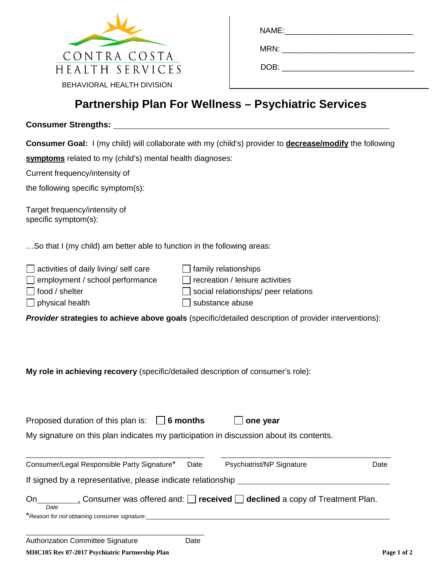

| NAME:__________________________ |  |
|---------------------------------|--|
| MRN:                            |  |
| DOB:                            |  |

## **Partnership Plan For Wellness – Psychiatric Services**

## **Consumer Strengths:**

**Consumer Goal:** I (my child) will collaborate with my (child's) provider to **decrease/modify** the following

**symptoms** related to my (child's) mental health diagnoses:

Current frequency/intensity of

the following specific symptom(s):

Target frequency/intensity of specific symptom(s):

…So that I (my child) am better able to function in the following areas:

| $\Box$ activities of daily living/ self care | $\Box$ family relationships                 |
|----------------------------------------------|---------------------------------------------|
| $\Box$ employment / school performance       | $\Box$ recreation / leisure activities      |
| $\Box$ food / shelter                        | $\Box$ social relationships/ peer relations |
| $\Box$ physical health                       | $\Box$ substance abuse                      |

*Provider* **strategies to achieve above goals** (specific/detailed description of provider interventions):

**My role in achieving recovery** (specific/detailed description of consumer's role):

Proposed duration of this plan is: **6 months one year**

My signature on this plan indicates my participation in discussion about its contents.

| Consumer/Legal Responsible Party Signature*                 | Date | Psychiatrist/NP Signature                                                           | Date |
|-------------------------------------------------------------|------|-------------------------------------------------------------------------------------|------|
| If signed by a representative, please indicate relationship |      |                                                                                     |      |
| On<br>Date                                                  |      | Consumer was offered and: $\Box$ received $\Box$ declined a copy of Treatment Plan. |      |
| *Reason for not obtaining consumer signature:               |      |                                                                                     |      |
| Authorization Committee Signature                           | Date |                                                                                     |      |